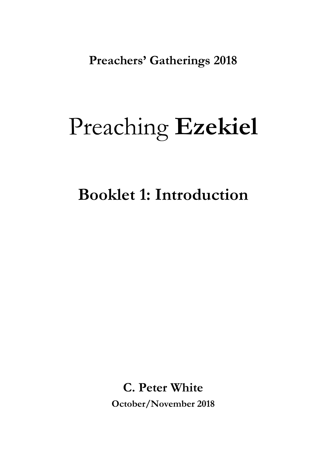**Preachers' Gatherings 2018**

# Preaching **Ezekiel**

# **Booklet 1: Introduction**

**C. Peter White October/November 2018**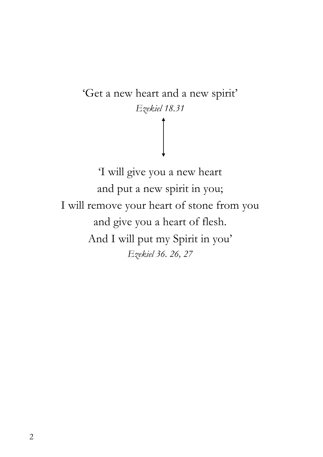'Get a new heart and a new spirit' *Ezekiel 18.31* 

'I will give you a new heart and put a new spirit in you; I will remove your heart of stone from you and give you a heart of flesh. And I will put my Spirit in you' *Ezekiel 36. 26, 27*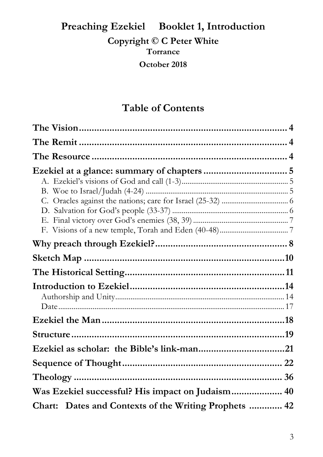#### **Preaching Ezekiel Booklet 1, Introduction Copyright © C Peter White Torrance October 2018**

#### **Table of Contents**

| Was Ezekiel successful? His impact on Judaism 40      |  |
|-------------------------------------------------------|--|
| Chart: Dates and Contexts of the Writing Prophets  42 |  |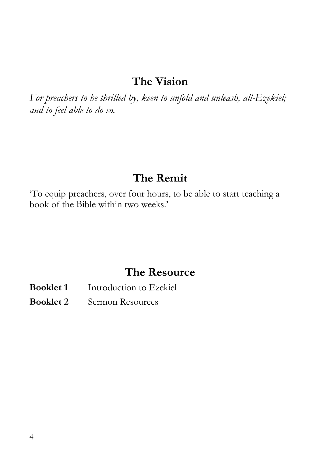#### **The Vision**

*For preachers to be thrilled by, keen to unfold and unleash, all-Ezekiel; and to feel able to do so.*

## **The Remit**

'To equip preachers, over four hours, to be able to start teaching a book of the Bible within two weeks.'

### **The Resource**

- **Booklet 1** Introduction to Ezekiel
- **Booklet 2** Sermon Resources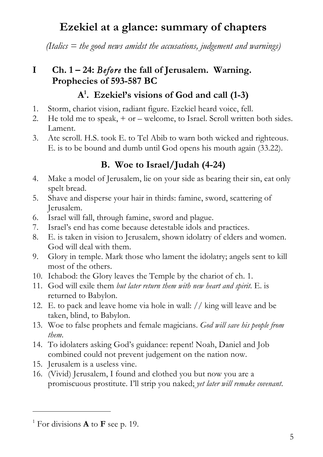## **Ezekiel at a glance: summary of chapters**

*(Italics = the good news amidst the accusations, judgement and warnings)*

#### **I Ch. 1 – 24:** *Before* **the fall of Jerusalem. Warning. Prophecies of 593-587 BC**

#### **A1 . Ezekiel's visions of God and call (1-3)**

- 1. Storm, chariot vision, radiant figure. Ezekiel heard voice, fell.
- 2. He told me to speak, + or welcome, to Israel. Scroll written both sides. Lament.
- 3. Ate scroll. H.S. took E. to Tel Abib to warn both wicked and righteous. E. is to be bound and dumb until God opens his mouth again (33.22).

#### **B. Woe to Israel/Judah (4-24)**

- 4. Make a model of Jerusalem, lie on your side as bearing their sin, eat only spelt bread.
- 5. Shave and disperse your hair in thirds: famine, sword, scattering of Jerusalem.
- 6. Israel will fall, through famine, sword and plague.
- 7. Israel's end has come because detestable idols and practices.
- 8. E. is taken in vision to Jerusalem, shown idolatry of elders and women. God will deal with them.
- 9. Glory in temple. Mark those who lament the idolatry; angels sent to kill most of the others.
- 10. Ichabod: the Glory leaves the Temple by the chariot of ch. 1.
- 11. God will exile them *but later return them with new heart and spirit*. E. is returned to Babylon.
- 12. E. to pack and leave home via hole in wall: // king will leave and be taken, blind, to Babylon.
- 13. Woe to false prophets and female magicians. *God will save his people from them*.
- 14. To idolaters asking God's guidance: repent! Noah, Daniel and Job combined could not prevent judgement on the nation now.
- 15. Jerusalem is a useless vine.
- 16. (Vivid) Jerusalem, I found and clothed you but now you are a promiscuous prostitute. I'll strip you naked; *yet later will remake covenant*.

<sup>&</sup>lt;sup>1</sup> For divisions **A** to **F** see p. 19.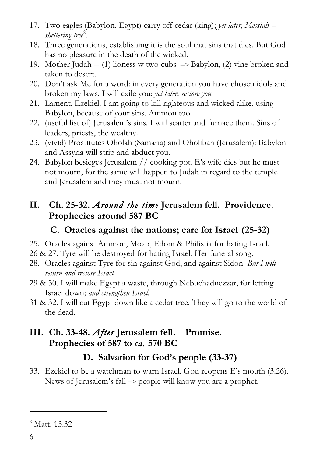- 17. Two eagles (Babylon, Egypt) carry off cedar (king); *yet later, Messiah = sheltering tree*<sup>2</sup> *.*
- 18. Three generations, establishing it is the soul that sins that dies. But God has no pleasure in the death of the wicked.
- 19. Mother Judah = (1) lioness w two cubs  $\rightarrow$  Babylon, (2) vine broken and taken to desert.
- 20. Don't ask Me for a word: in every generation you have chosen idols and broken my laws. I will exile you; *yet later, restore you.*
- 21. Lament, Ezekiel. I am going to kill righteous and wicked alike, using Babylon, because of your sins. Ammon too.
- 22. (useful list of) Jerusalem's sins. I will scatter and furnace them. Sins of leaders, priests, the wealthy.
- 23. (vivid) Prostitutes Oholah (Samaria) and Oholibah (Jerusalem): Babylon and Assyria will strip and abduct you.
- 24. Babylon besieges Jerusalem // cooking pot. E's wife dies but he must not mourn, for the same will happen to Judah in regard to the temple and Jerusalem and they must not mourn.

#### **II. Ch. 25-32.** *Around the time* **Jerusalem fell. Providence. Prophecies around 587 BC**

#### **C. Oracles against the nations; care for Israel****(25-32)**

- 25. Oracles against Ammon, Moab, Edom & Philistia for hating Israel.
- 26 & 27. Tyre will be destroyed for hating Israel. Her funeral song.
- 28. Oracles against Tyre for sin against God, and against Sidon. *But I will return and restore Israel.*
- 29 & 30. I will make Egypt a waste, through Nebuchadnezzar, for letting Israel down; *and strengthen Israel*.
- 31 & 32. I will cut Egypt down like a cedar tree. They will go to the world of the dead.

#### **III. Ch. 33-48.** *After* **Jerusalem fell. Promise. Prophecies of 587 to** *ca.* **570 BC**

#### **D. Salvation for God's people (33-37)**

33. Ezekiel to be a watchman to warn Israel. God reopens E's mouth (3.26). News of Jerusalem's fall –> people will know you are a prophet.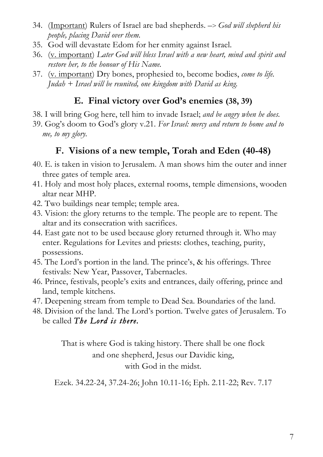- 34. (Important) Rulers of Israel are bad shepherds. –> *God will shepherd his people, placing David over them.*
- 35. God will devastate Edom for her enmity against Israel.
- 36. (v. important) *Later God will bless Israel with a new heart, mind and spirit and restore her, to the honour of His Name.*
- 37. (v. important) Dry bones, prophesied to, become bodies, *come to life. Judah + Israel will be reunited, one kingdom with David as king.*

#### **E. Final victory over God's enemies (38, 39)**

- 38. I will bring Gog here, tell him to invade Israel; *and be angry when he does.*
- 39. Gog's doom to God's glory v.21. *For Israel: mercy and return to home and to me, to my glory.*

#### **F. Visions of a new temple, Torah and Eden (40-48)**

- 40. E. is taken in vision to Jerusalem. A man shows him the outer and inner three gates of temple area.
- 41. Holy and most holy places, external rooms, temple dimensions, wooden altar near MHP.
- 42. Two buildings near temple; temple area.
- 43. Vision: the glory returns to the temple. The people are to repent. The altar and its consecration with sacrifices.
- 44. East gate not to be used because glory returned through it. Who may enter. Regulations for Levites and priests: clothes, teaching, purity, possessions.
- 45. The Lord's portion in the land. The prince's, & his offerings. Three festivals: New Year, Passover, Tabernacles.
- 46. Prince, festivals, people's exits and entrances, daily offering, prince and land, temple kitchens.
- 47. Deepening stream from temple to Dead Sea. Boundaries of the land.
- 48. Division of the land. The Lord's portion. Twelve gates of Jerusalem. To be called *The Lord is there.*

That is where God is taking history. There shall be one flock and one shepherd, Jesus our Davidic king, with God in the midst.

Ezek. 34.22-24, 37.24-26; John 10.11-16; Eph. 2.11-22; Rev. 7.17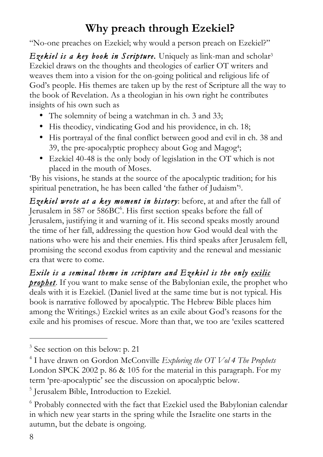## **Why preach through Ezekiel?**

"No-one preaches on Ezekiel; why would a person preach on Ezekiel?"

*Ezekiel is a key book in Scripture.* Uniquely as link-man and scholar3 Ezekiel draws on the thoughts and theologies of earlier OT writers and weaves them into a vision for the on-going political and religious life of God's people. His themes are taken up by the rest of Scripture all the way to the book of Revelation. As a theologian in his own right he contributes insights of his own such as

- The solemnity of being a watchman in ch. 3 and 33;
- His theodicy, vindicating God and his providence, in ch. 18;
- His portrayal of the final conflict between good and evil in ch. 38 and 39, the pre-apocalyptic prophecy about Gog and Magog4;
- Ezekiel 40-48 is the only body of legislation in the OT which is not placed in the mouth of Moses.

'By his visions, he stands at the source of the apocalyptic tradition; for his spiritual penetration, he has been called 'the father of Judaism'5.

*Ezekiel wrote at a key moment in history*: before, at and after the fall of Jerusalem in 587 or 586BC<sup>6</sup>. His first section speaks before the fall of Jerusalem, justifying it and warning of it. His second speaks mostly around the time of her fall, addressing the question how God would deal with the nations who were his and their enemies. His third speaks after Jerusalem fell, promising the second exodus from captivity and the renewal and messianic era that were to come.

*Exile is a seminal theme in scripture and Ezekiel is the only exilic prophet*. If you want to make sense of the Babylonian exile, the prophet who deals with it is Ezekiel. (Daniel lived at the same time but is not typical. His book is narrative followed by apocalyptic. The Hebrew Bible places him among the Writings.) Ezekiel writes as an exile about God's reasons for the exile and his promises of rescue. More than that, we too are 'exiles scattered

 $3$  See section on this below: p. 21

<sup>4</sup> I have drawn on Gordon McConville *Exploring the OT Vol 4 The Prophets* London SPCK 2002 p. 86 & 105 for the material in this paragraph. For my term 'pre-apocalyptic' see the discussion on apocalyptic below.

<sup>&</sup>lt;sup>5</sup> Jerusalem Bible, Introduction to Ezekiel.

<sup>6</sup> Probably connected with the fact that Ezekiel used the Babylonian calendar in which new year starts in the spring while the Israelite one starts in the autumn, but the debate is ongoing.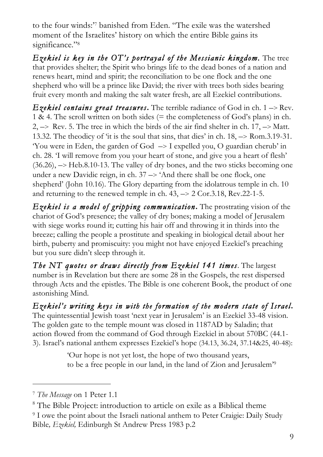to the four winds:' <sup>7</sup> banished from Eden. "The exile was the watershed moment of the Israelites' history on which the entire Bible gains its significance."<sup>8</sup>

*Ezekiel is key in the OT's portrayal of the Messianic kingdom.* The tree that provides shelter; the Spirit who brings life to the dead bones of a nation and renews heart, mind and spirit; the reconciliation to be one flock and the one shepherd who will be a prince like David; the river with trees both sides bearing fruit every month and making the salt water fresh, are all Ezekiel contributions.

*Ezekiel contains great treasures***.** The terrible radiance of God in ch. 1 –> Rev. 1 & 4. The scroll written on both sides (= the completeness of God's plans) in ch. 2, –> Rev. 5. The tree in which the birds of the air find shelter in ch. 17, –> Matt. 13.32. The theodicy of 'it is the soul that sins, that dies' in ch. 18, –> Rom.3.19-31. 'You were in Eden, the garden of God –> I expelled you, O guardian cherub' in ch. 28. 'I will remove from you your heart of stone, and give you a heart of flesh' (36.26), –> Heb.8.10-13. The valley of dry bones, and the two sticks becoming one under a new Davidic reign, in ch.  $37 \rightarrow$  'And there shall be one flock, one shepherd' (John 10.16). The Glory departing from the idolatrous temple in ch. 10 and returning to the renewed temple in ch.  $43, \rightarrow 2$  Cor. 3.18, Rev. 22-1-5.

*Ezekiel is a model of gripping communication***.** The prostrating vision of the chariot of God's presence; the valley of dry bones; making a model of Jerusalem with siege works round it; cutting his hair off and throwing it in thirds into the breeze; calling the people a prostitute and speaking in biological detail about her birth, puberty and promiscuity: you might not have enjoyed Ezekiel's preaching but you sure didn't sleep through it.

*The NT quotes or draws directly from Ezekiel 141 times*. The largest number is in Revelation but there are some 28 in the Gospels, the rest dispersed through Acts and the epistles. The Bible is one coherent Book, the product of one astonishing Mind.

*Ezekiel's writing keys in with the formation of the modern state of Israel***.** The quintessential Jewish toast 'next year in Jerusalem' is an Ezekiel 33-48 vision. The golden gate to the temple mount was closed in 1187AD by Saladin; that action flowed from the command of God through Ezekiel in about 570BC (44.1- 3). Israel's national anthem expresses Ezekiel's hope (34.13, 36.24, 37.14&25, 40-48):

> 'Our hope is not yet lost, the hope of two thousand years, to be a free people in our land, in the land of Zion and Jerusalem'9

-

<sup>7</sup> *The Message* on 1 Peter 1.1

<sup>8</sup> The Bible Project: introduction to article on exile as a Biblical theme <sup>9</sup> I owe the point about the Israeli national anthem to Peter Craigie: Daily Study Bible*, Ezekiel,* Edinburgh St Andrew Press 1983 p.2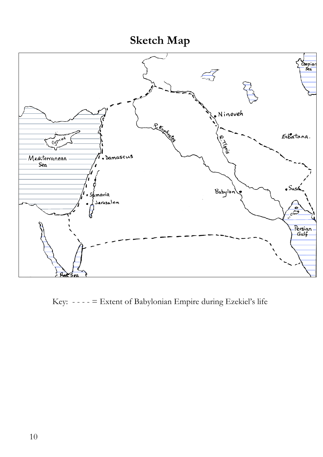## **Sketch Map**



Key: - - - - = Extent of Babylonian Empire during Ezekiel's life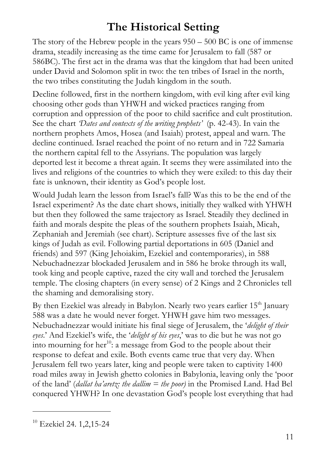## **The Historical Setting**

The story of the Hebrew people in the years 950 – 500 BC is one of immense drama, steadily increasing as the time came for Jerusalem to fall (587 or 586BC). The first act in the drama was that the kingdom that had been united under David and Solomon split in two: the ten tribes of Israel in the north, the two tribes constituting the Judah kingdom in the south.

Decline followed, first in the northern kingdom, with evil king after evil king choosing other gods than YHWH and wicked practices ranging from corruption and oppression of the poor to child sacrifice and cult prostitution. See the chart *'Dates and contexts of the writing prophets'* (p. 42-43). In vain the northern prophets Amos, Hosea (and Isaiah) protest, appeal and warn. The decline continued. Israel reached the point of no return and in 722 Samaria the northern capital fell to the Assyrians. The population was largely deported lest it become a threat again. It seems they were assimilated into the lives and religions of the countries to which they were exiled: to this day their fate is unknown, their identity as God's people lost.

Would Judah learn the lesson from Israel's fall? Was this to be the end of the Israel experiment? As the date chart shows, initially they walked with YHWH but then they followed the same trajectory as Israel. Steadily they declined in faith and morals despite the pleas of the southern prophets Isaiah, Micah, Zephaniah and Jeremiah (see chart). Scripture assesses five of the last six kings of Judah as evil. Following partial deportations in 605 (Daniel and friends) and 597 (King Jehoiakim, Ezekiel and contemporaries), in 588 Nebuchadnezzar blockaded Jerusalem and in 586 he broke through its wall, took king and people captive, razed the city wall and torched the Jerusalem temple. The closing chapters (in every sense) of 2 Kings and 2 Chronicles tell the shaming and demoralising story.

By then Ezekiel was already in Babylon. Nearly two years earlier 15<sup>th</sup> January 588 was a date he would never forget. YHWH gave him two messages. Nebuchadnezzar would initiate his final siege of Jerusalem, the '*delight of their eyes*.' And Ezekiel's wife, the '*delight of his eyes*,' was to die but he was not go into mourning for her $10$ : a message from God to the people about their response to defeat and exile. Both events came true that very day. When Jerusalem fell two years later, king and people were taken to captivity 1400 road miles away in Jewish ghetto colonies in Babylonia, leaving only the 'poor of the land' (*dallat ha'aretz: the dallim = the poor)* in the Promised Land. Had Bel conquered YHWH? In one devastation God's people lost everything that had

<sup>&</sup>lt;sup>10</sup> Ezekiel 24. 1,2,15-24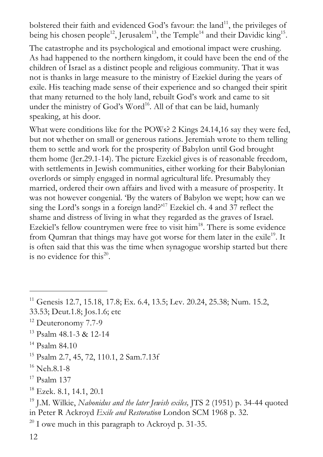bolstered their faith and evidenced God's favour: the land<sup>11</sup>, the privileges of being his chosen people<sup>12</sup>, Jerusalem<sup>13</sup>, the Temple<sup>14</sup> and their Davidic king<sup>15</sup>.

The catastrophe and its psychological and emotional impact were crushing. As had happened to the northern kingdom, it could have been the end of the children of Israel as a distinct people and religious community. That it was not is thanks in large measure to the ministry of Ezekiel during the years of exile. His teaching made sense of their experience and so changed their spirit that many returned to the holy land, rebuilt God's work and came to sit under the ministry of God's Word<sup>16</sup>. All of that can be laid, humanly speaking, at his door.

What were conditions like for the POWs? 2 Kings 24.14,16 say they were fed, but not whether on small or generous rations. Jeremiah wrote to them telling them to settle and work for the prosperity of Babylon until God brought them home (Jer.29.1-14). The picture Ezekiel gives is of reasonable freedom, with settlements in Jewish communities, either working for their Babylonian overlords or simply engaged in normal agricultural life. Presumably they married, ordered their own affairs and lived with a measure of prosperity. It was not however congenial. 'By the waters of Babylon we wept; how can we sing the Lord's songs in a foreign land?'17 Ezekiel ch. 4 and 37 reflect the shame and distress of living in what they regarded as the graves of Israel. Ezekiel's fellow countrymen were free to visit him<sup>18</sup>. There is some evidence from Qumran that things may have got worse for them later in the exile<sup>19</sup>. It is often said that this was the time when synagogue worship started but there is no evidence for this $^{20}$ .

 $\ddot{\phantom{a}}$ 

<sup>&</sup>lt;sup>11</sup> Genesis 12.7, 15.18, 17.8; Ex. 6.4, 13.5; Lev. 20.24, 25.38; Num. 15.2,

<sup>33.53;</sup> Deut.1.8; Jos.1.6; etc

<sup>&</sup>lt;sup>12</sup> Deuteronomy 7.7-9

<sup>13</sup> Psalm 48.1-3 & 12-14

 $14$  Psalm 84.10

<sup>15</sup> Psalm 2.7, 45, 72, 110.1, 2 Sam.7.13f

<sup>&</sup>lt;sup>16</sup> Neh.8.1-8

 $17$  Psalm 137

<sup>&</sup>lt;sup>18</sup> Ezek. 8.1, 14.1, 20.1

<sup>&</sup>lt;sup>19</sup> J.M. Wilkie, *Nabonidus and the later Jewish exiles*, JTS 2 (1951) p. 34-44 quoted in Peter R Ackroyd *Exile and Restoration* London SCM 1968 p. 32.

 $20$  I owe much in this paragraph to Ackroyd p. 31-35.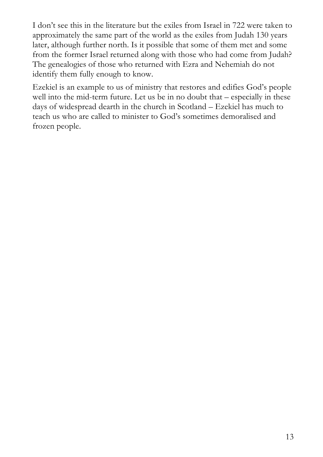I don't see this in the literature but the exiles from Israel in 722 were taken to approximately the same part of the world as the exiles from Judah 130 years later, although further north. Is it possible that some of them met and some from the former Israel returned along with those who had come from Judah? The genealogies of those who returned with Ezra and Nehemiah do not identify them fully enough to know.

Ezekiel is an example to us of ministry that restores and edifies God's people well into the mid-term future. Let us be in no doubt that – especially in these days of widespread dearth in the church in Scotland – Ezekiel has much to teach us who are called to minister to God's sometimes demoralised and frozen people.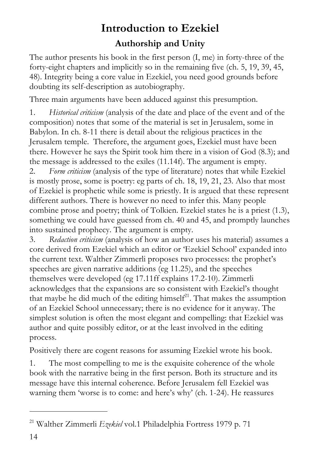## **Introduction to Ezekiel Authorship and Unity**

The author presents his book in the first person (I, me) in forty-three of the forty-eight chapters and implicitly so in the remaining five (ch. 5, 19, 39, 45, 48). Integrity being a core value in Ezekiel, you need good grounds before doubting its self-description as autobiography.

Three main arguments have been adduced against this presumption.

1. *Historical criticism* (analysis of the date and place of the event and of the composition) notes that some of the material is set in Jerusalem, some in Babylon. In ch. 8-11 there is detail about the religious practices in the Jerusalem temple. Therefore, the argument goes, Ezekiel must have been there. However he says the Spirit took him there in a vision of God (8.3); and the message is addressed to the exiles (11.14f). The argument is empty.

2. *Form criticism* (analysis of the type of literature) notes that while Ezekiel is mostly prose, some is poetry: eg parts of ch. 18, 19, 21, 23. Also that most of Ezekiel is prophetic while some is priestly. It is argued that these represent different authors. There is however no need to infer this. Many people combine prose and poetry; think of Tolkien. Ezekiel states he is a priest (1.3), something we could have guessed from ch. 40 and 45, and promptly launches into sustained prophecy. The argument is empty.

3. *Redaction criticism* (analysis of how an author uses his material) assumes a core derived from Ezekiel which an editor or 'Ezekiel School' expanded into the current text. Walther Zimmerli proposes two processes: the prophet's speeches are given narrative additions (eg 11.25), and the speeches themselves were developed (eg 17.11ff explains 17.2-10). Zimmerli acknowledges that the expansions are so consistent with Ezekiel's thought that maybe he did much of the editing himself<sup>21</sup>. That makes the assumption of an Ezekiel School unnecessary; there is no evidence for it anyway. The simplest solution is often the most elegant and compelling: that Ezekiel was author and quite possibly editor, or at the least involved in the editing process.

Positively there are cogent reasons for assuming Ezekiel wrote his book.

1. The most compelling to me is the exquisite coherence of the whole book with the narrative being in the first person. Both its structure and its message have this internal coherence. Before Jerusalem fell Ezekiel was warning them 'worse is to come: and here's why' (ch. 1-24). He reassures

<sup>21</sup> Walther Zimmerli *Ezekiel* vol.1 Philadelphia Fortress 1979 p. 71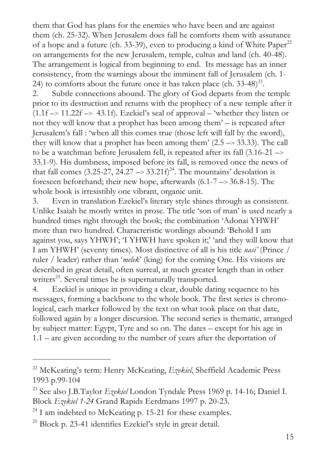them that God has plans for the enemies who have been and are against them (ch. 25-32). When Jerusalem does fall he comforts them with assurance of a hope and a future (ch. 33-39), even to producing a kind of White Paper<sup>22</sup> on arrangements for the new Jerusalem, temple, cultus and land (ch. 40-48). The arrangement is logical from beginning to end. Its message has an inner consistency, from the warnings about the imminent fall of Jerusalem (ch. 1- 24) to comforts about the future once it has taken place (ch.  $33-48$ )<sup>23</sup>.

2. Subtle connections abound. The glory of God departs from the temple prior to its destruction and returns with the prophecy of a new temple after it  $(1.1f \rightarrow 11.22f \rightarrow 43.1f)$ . Ezekiel's seal of approval – 'whether they listen or not they will know that a prophet has been among them' – is repeated after Jerusalem's fall : 'when all this comes true (those left will fall by the sword), they will know that a prophet has been among them' (2.5 –> 33.33). The call to be a watchman before Jerusalem fell, is repeated after its fall (3.16-21 –> 33.1-9). His dumbness, imposed before its fall, is removed once the news of that fall comes (3.25-27, 24.27  $\rightarrow$  33.21f)<sup>24</sup>. The mountains' desolation is foreseen beforehand; their new hope, afterwards (6.1-7 –> 36.8-15). The whole book is irresistibly one vibrant, organic unit.

3. Even in translation Ezekiel's literary style shines through as consistent. Unlike Isaiah he mostly writes in prose. The title 'son of man' is used nearly a hundred times right through the book; the combination 'Adonai YHWH' more than two hundred. Characteristic wordings abound: 'Behold I am against you, says YHWH'; 'I YHWH have spoken it;' 'and they will know that I am YHWH' (seventy times). Most distinctive of all is his title *nasi'* (Prince / ruler / leader) rather than '*melek*' (king) for the coming One. His visions are described in great detail, often surreal, at much greater length than in other writers<sup>25</sup>. Several times he is supernaturally transported.

4. Ezekiel is unique in providing a clear, double dating sequence to his messages, forming a backbone to the whole book. The first series is chronological, each marker followed by the text on what took place on that date, followed again by a longer discursion. The second series is thematic, arranged by subject matter: Egypt, Tyre and so on. The dates – except for his age in 1.1 – are given according to the number of years after the deportation of

-

<sup>22</sup> McKeating's term: Henry McKeating, *Ezekiel*, Sheffield Academic Press 1993 p.99-104

<sup>23</sup> See also J.B.Taylor *Ezekiel* London Tyndale Press 1969 p. 14-16; Daniel I. Block *Ezekiel 1-24* Grand Rapids Eerdmans 1997 p. 20-23.

<sup>&</sup>lt;sup>24</sup> I am indebted to McKeating p. 15-21 for these examples.

 $^{25}$  Block p. 23-41 identifies Ezekiel's style in great detail.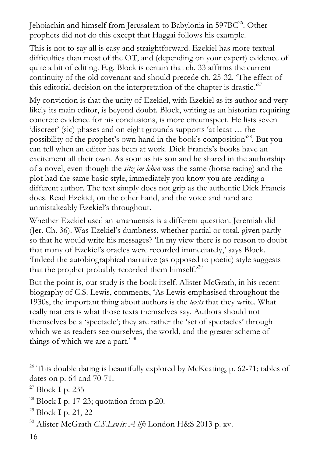Jehoiachin and himself from Jerusalem to Babylonia in  $597BC^{26}$ . Other prophets did not do this except that Haggai follows his example.

This is not to say all is easy and straightforward. Ezekiel has more textual difficulties than most of the OT, and (depending on your expert) evidence of quite a bit of editing. E.g. Block is certain that ch. 33 affirms the current continuity of the old covenant and should precede ch. 25-32. 'The effect of this editorial decision on the interpretation of the chapter is drastic.<sup>27</sup>

My conviction is that the unity of Ezekiel, with Ezekiel as its author and very likely its main editor, is beyond doubt. Block, writing as an historian requiring concrete evidence for his conclusions, is more circumspect. He lists seven 'discreet' (sic) phases and on eight grounds supports 'at least … the possibility of the prophet's own hand in the book's composition'28. But you can tell when an editor has been at work. Dick Francis's books have an excitement all their own. As soon as his son and he shared in the authorship of a novel, even though the *sitz im leben* was the same (horse racing) and the plot had the same basic style, immediately you know you are reading a different author. The text simply does not grip as the authentic Dick Francis does. Read Ezekiel, on the other hand, and the voice and hand are unmistakeably Ezekiel's throughout.

Whether Ezekiel used an amanuensis is a different question. Jeremiah did (Jer. Ch. 36). Was Ezekiel's dumbness, whether partial or total, given partly so that he would write his messages? 'In my view there is no reason to doubt that many of Ezekiel's oracles were recorded immediately,' says Block. 'Indeed the autobiographical narrative (as opposed to poetic) style suggests that the prophet probably recorded them himself.'29

But the point is, our study is the book itself. Alister McGrath, in his recent biography of C.S. Lewis, comments, 'As Lewis emphasised throughout the 1930s, the important thing about authors is the *texts* that they write. What really matters is what those texts themselves say. Authors should not themselves be a 'spectacle'; they are rather the 'set of spectacles' through which we as readers see ourselves, the world, and the greater scheme of things of which we are a part.' 30

<sup>&</sup>lt;sup>26</sup> This double dating is beautifully explored by McKeating, p. 62-71; tables of dates on p. 64 and 70-71.

<sup>27</sup> Block **I** p. 235

<sup>28</sup> Block **I** p. 17-23; quotation from p.20.

<sup>29</sup> Block **I** p. 21, 22

<sup>30</sup> Alister McGrath *C.S.Lewis: A life* London H&S 2013 p. xv.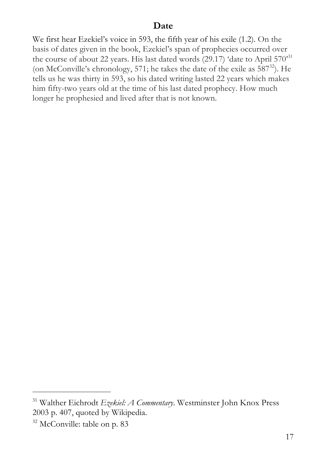We first hear Ezekiel's voice in 593, the fifth year of his exile (1.2). On the basis of dates given in the book, Ezekiel's span of prophecies occurred over the course of about 22 years. His last dated words  $(29.17)$  'date to April  $570^{31}$ (on McConville's chronology, 571; he takes the date of the exile as 587<sup>32</sup>). He tells us he was thirty in 593, so his dated writing lasted 22 years which makes him fifty-two years old at the time of his last dated prophecy. How much longer he prophesied and lived after that is not known.

<sup>31</sup> Walther Eichrodt *Ezekiel: A Commentary*. Westminster John Knox Press 2003 p. 407, quoted by Wikipedia.

<sup>&</sup>lt;sup>32</sup> McConville: table on p. 83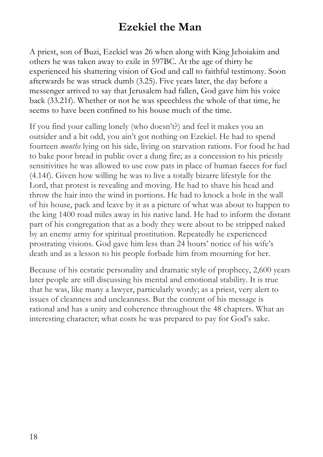## **Ezekiel the Man**

A priest, son of Buzi, Ezekiel was 26 when along with King Jehoiakim and others he was taken away to exile in 597BC. At the age of thirty he experienced his shattering vision of God and call to faithful testimony. Soon afterwards he was struck dumb (3.25). Five years later, the day before a messenger arrived to say that Jerusalem had fallen, God gave him his voice back (33.21f). Whether or not he was speechless the whole of that time, he seems to have been confined to his house much of the time.

If you find your calling lonely (who doesn't?) and feel it makes you an outsider and a bit odd, you ain't got nothing on Ezekiel. He had to spend fourteen *months* lying on his side, living on starvation rations. For food he had to bake poor bread in public over a dung fire; as a concession to his priestly sensitivities he was allowed to use cow pats in place of human faeces for fuel (4.14f). Given how willing he was to live a totally bizarre lifestyle for the Lord, that protest is revealing and moving. He had to shave his head and throw the hair into the wind in portions. He had to knock a hole in the wall of his house, pack and leave by it as a picture of what was about to happen to the king 1400 road miles away in his native land. He had to inform the distant part of his congregation that as a body they were about to be stripped naked by an enemy army for spiritual prostitution. Repeatedly he experienced prostrating visions. God gave him less than 24 hours' notice of his wife's death and as a lesson to his people forbade him from mourning for her.

Because of his ecstatic personality and dramatic style of prophecy, 2,600 years later people are still discussing his mental and emotional stability. It is true that he was, like many a lawyer, particularly wordy; as a priest, very alert to issues of cleanness and uncleanness. But the content of his message is rational and has a unity and coherence throughout the 48 chapters. What an interesting character; what costs he was prepared to pay for God's sake.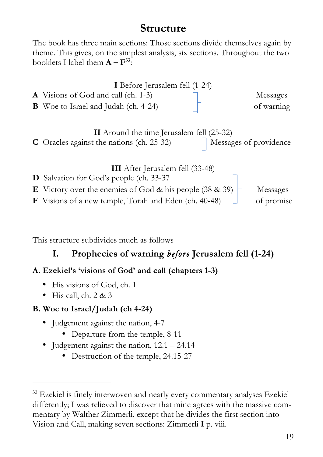#### **Structure**

The book has three main sections: Those sections divide themselves again by theme. This gives, on the simplest analysis, six sections. Throughout the two booklets I label them  $\mathbf{A} - \mathbf{F}^{33}$ :

| I Before Jerusalem fell (1-24)              |            |  |  |
|---------------------------------------------|------------|--|--|
| <b>A</b> Visions of God and call (ch. 1-3)  | Messages   |  |  |
| <b>B</b> Woe to Israel and Judah (ch. 4-24) | of warning |  |  |

**II** Around the time Jerusalem fell (25-32) **C** Oracles against the nations (ch. 25-32) Messages of providence

| <b>III</b> After Jerusalem fell (33-48)                                 |            |
|-------------------------------------------------------------------------|------------|
| <b>D</b> Salvation for God's people (ch. 33-37)                         |            |
| <b>E</b> Victory over the enemies of God & his people (38 & 39) $\vert$ | Messages   |
| <b>F</b> Visions of a new temple, Torah and Eden (ch. 40-48)            | of promise |

This structure subdivides much as follows

#### **I. Prophecies of warning** *before* **Jerusalem fell (1-24)**

#### **A. Ezekiel's 'visions of God' and call (chapters 1-3)**

- His visions of God, ch. 1
- His call, ch. 2 & 3

 $\overline{a}$ 

#### **B. Woe to Israel/Judah (ch 4-24)**

- Judgement against the nation, 4-7
	- Departure from the temple, 8-11
- Judgement against the nation,  $12.1 24.14$ 
	- Destruction of the temple, 24.15-27

 $33$  Ezekiel is finely interwoven and nearly every commentary analyses Ezekiel differently; I was relieved to discover that mine agrees with the massive commentary by Walther Zimmerli, except that he divides the first section into Vision and Call, making seven sections: Zimmerli **I** p. viii.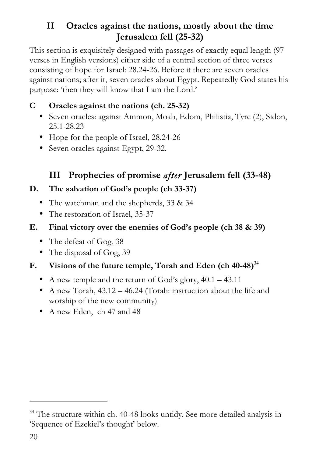#### **II Oracles against the nations, mostly about the time Jerusalem fell (25-32)**

This section is exquisitely designed with passages of exactly equal length (97 verses in English versions) either side of a central section of three verses consisting of hope for Israel: 28.24-26. Before it there are seven oracles against nations; after it, seven oracles about Egypt. Repeatedly God states his purpose: 'then they will know that I am the Lord.'

#### **C Oracles against the nations (ch. 25-32)**

- Seven oracles: against Ammon, Moab, Edom, Philistia, Tyre (2), Sidon, 25.1-28.23
- Hope for the people of Israel, 28.24-26
- Seven oracles against Egypt, 29-32.

#### **III Prophecies of promise** *after* **Jerusalem fell (33-48)**

#### **D. The salvation of God's people (ch 33-37)**

- The watchman and the shepherds, 33 & 34
- The restoration of Israel, 35-37
- **E. Final victory over the enemies of God's people (ch 38 & 39)**
	- The defeat of Gog, 38
	- The disposal of Gog, 39

#### **F. Visions of the future temple, Torah and Eden (ch 40-48) 34**

- A new temple and the return of God's glory, 40.1 43.11
- A new Torah, 43.12 46.24 (Torah: instruction about the life and worship of the new community)
- A new Eden, ch 47 and 48

<sup>&</sup>lt;sup>34</sup> The structure within ch. 40-48 looks untidy. See more detailed analysis in 'Sequence of Ezekiel's thought' below.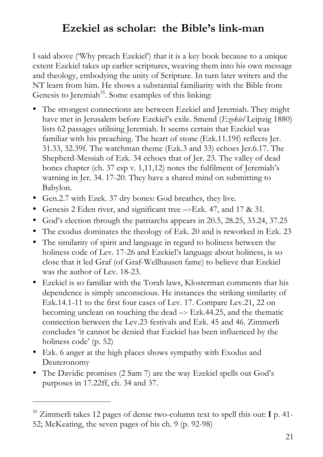## **Ezekiel as scholar: the Bible's link-man**

I said above ('Why preach Ezekiel') that it is a key book because to a unique extent Ezekiel takes up earlier scriptures, weaving them into his own message and theology, embodying the unity of Scripture. In turn later writers and the NT learn from him. He shows a substantial familiarity with the Bible from Genesis to Jeremiah<sup>35</sup>. Some examples of this linking:

- The strongest connections are between Ezekiel and Jeremiah. They might have met in Jerusalem before Ezekiel's exile. Smend (*Ezekiel* Leipzig 1880) lists 62 passages utilising Jeremiah. It seems certain that Ezekiel was familiar with his preaching. The heart of stone (Ezk.11.19f) reflects Jer. 31.33, 32.39f. The watchman theme (Ezk.3 and 33) echoes Jer.6.17. The Shepherd-Messiah of Ezk. 34 echoes that of Jer. 23. The valley of dead bones chapter (ch. 37 esp v. 1,11,12) notes the fulfilment of Jeremiah's warning in Jer. 34. 17-20. They have a shared mind on submitting to Babylon.
- Gen.2.7 with Ezek. 37 dry bones: God breathes, they live.
- Genesis 2 Eden river, and significant tree –>Ezk. 47, and 17 & 31.
- God's election through the patriarchs appears in 20.5, 28.25, 33.24, 37.25
- The exodus dominates the theology of Ezk. 20 and is reworked in Ezk. 23
- The similarity of spirit and language in regard to holiness between the holiness code of Lev. 17-26 and Ezekiel's language about holiness, is so close that it led Graf (of Graf-Wellhausen fame) to believe that Ezekiel was the author of Lev. 18-23.
- Ezekiel is so familiar with the Torah laws, Klosterman comments that his dependence is simply unconscious. He instances the striking similarity of Ezk.14.1-11 to the first four cases of Lev. 17. Compare Lev.21, 22 on becoming unclean on touching the dead –> Ezk.44.25, and the thematic connection between the Lev.23 festivals and Ezk. 45 and 46. Zimmerli concludes 'it cannot be denied that Ezekiel has been influenced by the holiness code' (p. 52)
- Ezk. 6 anger at the high places shows sympathy with Exodus and Deuteronomy

 $\overline{a}$ 

• The Davidic promises (2 Sam 7) are the way Ezekiel spells out God's purposes in 17.22ff, ch. 34 and 37.

<sup>35</sup> Zimmerli takes 12 pages of dense two-column text to spell this out: **I** p. 41- 52; McKeating, the seven pages of his ch. 9 (p. 92-98)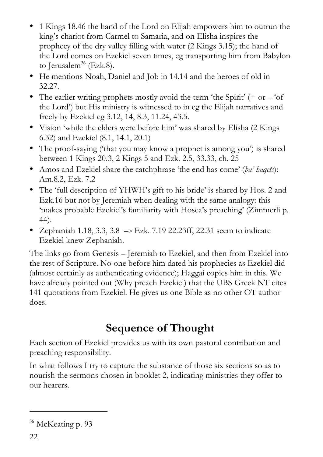- 1 Kings 18.46 the hand of the Lord on Elijah empowers him to outrun the king's chariot from Carmel to Samaria, and on Elisha inspires the prophecy of the dry valley filling with water (2 Kings 3.15); the hand of the Lord comes on Ezekiel seven times, eg transporting him from Babylon to Jerusalem<sup>36</sup> (Ezk.8).
- He mentions Noah, Daniel and Job in 14.14 and the heroes of old in 32.27.
- The earlier writing prophets mostly avoid the term 'the Spirit'  $(+ or 'of)$ the Lord') but His ministry is witnessed to in eg the Elijah narratives and freely by Ezekiel eg 3.12, 14, 8.3, 11.24, 43.5.
- Vision 'while the elders were before him' was shared by Elisha (2 Kings) 6.32) and Ezekiel (8.1, 14.1, 20.1)
- The proof-saying ('that you may know a prophet is among you') is shared between 1 Kings 20.3, 2 Kings 5 and Ezk. 2.5, 33.33, ch. 25
- Amos and Ezekiel share the catchphrase 'the end has come' (*ba' haqets*): Am.8.2, Ezk. 7.2
- The 'full description of YHWH's gift to his bride' is shared by Hos. 2 and Ezk.16 but not by Jeremiah when dealing with the same analogy: this 'makes probable Ezekiel's familiarity with Hosea's preaching' (Zimmerli p. 44).
- Zephaniah 1.18, 3.3, 3.8 –> Ezk. 7.19 22.23ff, 22.31 seem to indicate Ezekiel knew Zephaniah.

The links go from Genesis – Jeremiah to Ezekiel, and then from Ezekiel into the rest of Scripture. No one before him dated his prophecies as Ezekiel did (almost certainly as authenticating evidence); Haggai copies him in this. We have already pointed out (Why preach Ezekiel) that the UBS Greek NT cites 141 quotations from Ezekiel. He gives us one Bible as no other OT author does.

## **Sequence of Thought**

Each section of Ezekiel provides us with its own pastoral contribution and preaching responsibility.

In what follows I try to capture the substance of those six sections so as to nourish the sermons chosen in booklet 2, indicating ministries they offer to our hearers.

<sup>&</sup>lt;sup>36</sup> McKeating p. 93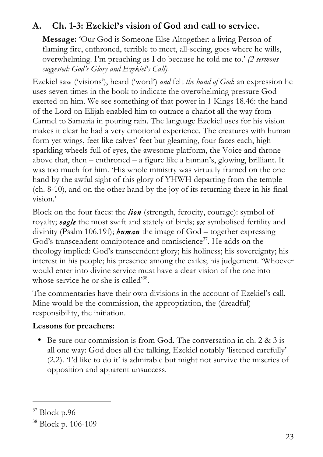#### **A. Ch. 1-3: Ezekiel's vision of God and call to service.**

**Message:** 'Our God is Someone Else Altogether: a living Person of flaming fire, enthroned, terrible to meet, all-seeing, goes where he wills, overwhelming. I'm preaching as I do because he told me to.' *(2 sermons suggested: God's Glory and Ezekiel's Call).*

Ezekiel saw ('visions'), heard ('word') *and* felt *the hand of God*: an expression he uses seven times in the book to indicate the overwhelming pressure God exerted on him. We see something of that power in 1 Kings 18.46: the hand of the Lord on Elijah enabled him to outrace a chariot all the way from Carmel to Samaria in pouring rain. The language Ezekiel uses for his vision makes it clear he had a very emotional experience. The creatures with human form yet wings, feet like calves' feet but gleaming, four faces each, high sparkling wheels full of eyes, the awesome platform, the Voice and throne above that, then  $-$  enthroned  $-$  a figure like a human's, glowing, brilliant. It was too much for him. 'His whole ministry was virtually framed on the one hand by the awful sight of this glory of YHWH departing from the temple (ch. 8-10), and on the other hand by the joy of its returning there in his final vision.'

Block on the four faces: the *lion* (strength, ferocity, courage): symbol of royalty; *eagle* the most swift and stately of birds; *ox* symbolised fertility and divinity (Psalm 106.19f); *human* the image of God – together expressing God's transcendent omnipotence and omniscience<sup>37</sup>. He adds on the theology implied: God's transcendent glory; his holiness; his sovereignty; his interest in his people; his presence among the exiles; his judgement. 'Whoever would enter into divine service must have a clear vision of the one into whose service he or she is called<sup>38</sup>.

The commentaries have their own divisions in the account of Ezekiel's call. Mine would be the commission, the appropriation, the (dreadful) responsibility, the initiation.

#### **Lessons for preachers:**

• Be sure our commission is from God. The conversation in ch. 2 & 3 is all one way: God does all the talking, Ezekiel notably 'listened carefully' (2.2). 'I'd like to do it' is admirable but might not survive the miseries of opposition and apparent unsuccess.

 $37$  Block p.96

<sup>38</sup> Block p. 106-109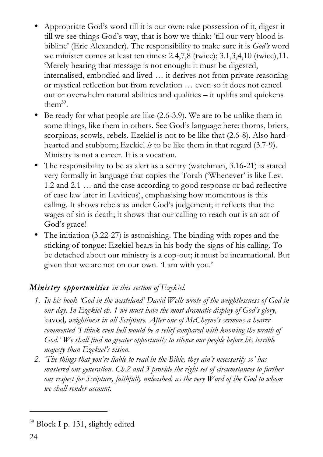- Appropriate God's word till it is our own: take possession of it, digest it till we see things God's way, that is how we think: 'till our very blood is bibline' (Eric Alexander). The responsibility to make sure it is *God's* word we minister comes at least ten times: 2.4,7,8 (twice); 3.1,3,4,10 (twice),11. 'Merely hearing that message is not enough: it must be digested, internalised, embodied and lived … it derives not from private reasoning or mystical reflection but from revelation … even so it does not cancel out or overwhelm natural abilities and qualities – it uplifts and quickens them $^{39}$ .
- Be ready for what people are like  $(2.6-3.9)$ . We are to be unlike them in some things, like them in others. See God's language here: thorns, briers, scorpions, scowls, rebels. Ezekiel is not to be like that (2.6-8). Also hardhearted and stubborn; Ezekiel *is* to be like them in that regard (3.7-9). Ministry is not a career. It is a vocation.
- The responsibility to be as a lert as a sentry (watchman, 3.16-21) is stated very formally in language that copies the Torah ('Whenever' is like Lev. 1.2 and 2.1 … and the case according to good response or bad reflective of case law later in Leviticus), emphasising how momentous is this calling. It shows rebels as under God's judgement; it reflects that the wages of sin is death; it shows that our calling to reach out is an act of God's grace!
- The initiation (3.22-27) is astonishing. The binding with ropes and the sticking of tongue: Ezekiel bears in his body the signs of his calling. To be detached about our ministry is a cop-out; it must be incarnational. But given that we are not on our own. 'I am with you.'

#### *Ministry opportunities in this section of Ezekiel.*

- *1. In his book 'God in the wasteland' David Wells wrote of the weightlessness of God in our day. In Ezekiel ch. 1 we must have the most dramatic display of God's glory,*  kavod*, weightiness in all Scripture. After one of McCheyne's sermons a hearer commented 'I think even hell would be a relief compared with knowing the wrath of God.' We shall find no greater opportunity to silence our people before his terrible majesty than Ezekiel's vision.*
- *2. 'The things that you're liable to read in the Bible, they ain't necessarily so' has mastered our generation. Ch.2 and 3 provide the right set of circumstances to further our respect for Scripture, faithfully unleashed, as the very Word of the God to whom we shall render account.*

<sup>39</sup> Block **I** p. 131, slightly edited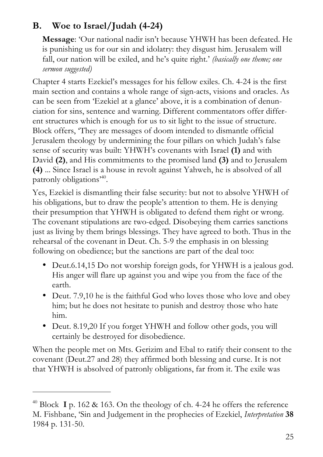#### **B. Woe to Israel/Judah (4-24)**

**Message**: 'Our national nadir isn't because YHWH has been defeated. He is punishing us for our sin and idolatry: they disgust him. Jerusalem will fall, our nation will be exiled, and he's quite right.' *(basically one theme; one sermon suggested)*

Chapter 4 starts Ezekiel's messages for his fellow exiles. Ch. 4-24 is the first main section and contains a whole range of sign-acts, visions and oracles. As can be seen from 'Ezekiel at a glance' above, it is a combination of denunciation for sins, sentence and warning. Different commentators offer different structures which is enough for us to sit light to the issue of structure. Block offers, 'They are messages of doom intended to dismantle official Jerusalem theology by undermining the four pillars on which Judah's false sense of security was built: YHWH's covenants with Israel **(1)** and with David **(2)**, and His commitments to the promised land **(3)** and to Jerusalem **(4)** ... Since Israel is a house in revolt against Yahweh, he is absolved of all patronly obligations' 40.

Yes, Ezekiel is dismantling their false security: but not to absolve YHWH of his obligations, but to draw the people's attention to them. He is denying their presumption that YHWH is obligated to defend them right or wrong. The covenant stipulations are two-edged. Disobeying them carries sanctions just as living by them brings blessings. They have agreed to both. Thus in the rehearsal of the covenant in Deut. Ch. 5-9 the emphasis in on blessing following on obedience; but the sanctions are part of the deal too:

- Deut.6.14,15 Do not worship foreign gods, for YHWH is a jealous god. His anger will flare up against you and wipe you from the face of the earth.
- Deut. 7.9,10 he is the faithful God who loves those who love and obey him; but he does not hesitate to punish and destroy those who hate him.
- Deut. 8.19,20 If you forget YHWH and follow other gods, you will certainly be destroyed for disobedience.

When the people met on Mts. Gerizim and Ebal to ratify their consent to the covenant (Deut.27 and 28) they affirmed both blessing and curse. It is not that YHWH is absolved of patronly obligations, far from it. The exile was

<sup>40</sup> Block **I** p. 162 & 163. On the theology of ch. 4-24 he offers the reference M. Fishbane, 'Sin and Judgement in the prophecies of Ezekiel, *Interpretation* **38**  1984 p. 131-50.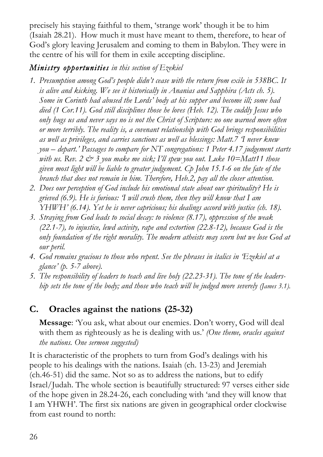precisely his staying faithful to them, 'strange work' though it be to him (Isaiah 28.21). How much it must have meant to them, therefore, to hear of God's glory leaving Jerusalem and coming to them in Babylon. They were in the centre of his will for them in exile accepting discipline.

#### *Ministry opportunities in this section of Ezekiel*

- *1. Presumption among God's people didn't cease with the return from exile in 538BC. It is alive and kicking. We see it historically in Ananias and Sapphira (Acts ch. 5). Some in Corinth had abused the Lords' body at his supper and become ill; some had died (1 Cor.11). God still disciplines those he loves (Heb. 12). The cuddly Jesus who only hugs us and never says no is not the Christ of Scripture: no one warned more often or more terribly. The reality is, a covenant relationship with God brings responsibilities as well as privileges, and carries sanctions as well as blessings: Matt.7 'I never knew you – depart.' Passages to compare for NT congregations: 1 Peter 4.17 judgement starts with us. Rev. 2 & 3 you make me sick; I'll spew you out. Luke 10=Matt11 those given most light will be liable to greater judgement. Cp John 15.1-6 on the fate of the branch that does not remain in him. Therefore, Heb.2, pay all the closer attention.*
- *2. Does our perception of God include his emotional state about our spirituality? He is grieved (6.9). He is furious: 'I will crush them, then they will know that I am YHWH' (6.14). Yet he is never capricious; his dealings accord with justice (ch. 18).*
- *3. Straying from God leads to social decay: to violence (8.17), oppression of the weak (22.1-7), to injustice, lewd activity, rape and extortion (22.8-12), because God is the only foundation of the right morality. The modern atheists may scorn but we lose God at our peril.*
- *4. God remains gracious to those who repent. See the phrases in italics in 'Ezekiel at a glance' (p. 5-7 above).*
- *5. The responsibility of leaders to teach and live holy (22.23-31). The tone of the leadership sets the tone of the body; and those who teach will be judged more severely (James 3.1).*

#### **C. Oracles against the nations****(25-32)**

**Message**: 'You ask, what about our enemies. Don't worry, God will deal with them as righteously as he is dealing with us.' *(One theme, oracles against the nations. One sermon suggested)*

It is characteristic of the prophets to turn from God's dealings with his people to his dealings with the nations. Isaiah (ch. 13-23) and Jeremiah (ch.46-51) did the same. Not so as to address the nations, but to edify Israel/Judah. The whole section is beautifully structured: 97 verses either side of the hope given in 28.24-26, each concluding with 'and they will know that I am YHWH'. The first six nations are given in geographical order clockwise from east round to north: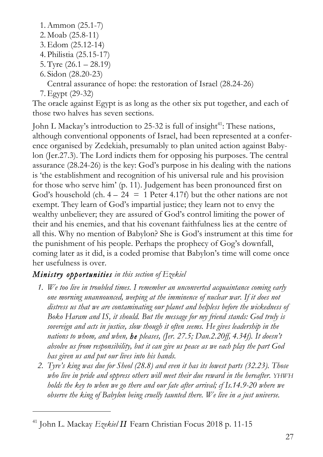- 1.Ammon (25.1-7)
- 2. Moab (25.8-11)
- 3.Edom (25.12-14)
- 4. Philistia (25.15-17)
- 5. Tyre  $(26.1 28.19)$
- 6. Sidon (28.20-23)
	- Central assurance of hope: the restoration of Israel (28.24-26)
- 7.Egypt (29-32)

 $\overline{a}$ 

The oracle against Egypt is as long as the other six put together, and each of those two halves has seven sections.

John L Mackay's introduction to 25-32 is full of insight<sup>41</sup>: These nations, although conventional opponents of Israel, had been represented at a conference organised by Zedekiah, presumably to plan united action against Babylon (Jer.27.3). The Lord indicts them for opposing his purposes. The central assurance (28.24-26) is the key: God's purpose in his dealing with the nations is 'the establishment and recognition of his universal rule and his provision for those who serve him' (p. 11). Judgement has been pronounced first on God's household (ch.  $4 - 24 = 1$  Peter 4.17f) but the other nations are not exempt. They learn of God's impartial justice; they learn not to envy the wealthy unbeliever; they are assured of God's control limiting the power of their and his enemies, and that his covenant faithfulness lies at the centre of all this. Why no mention of Babylon? She is God's instrument at this time for the punishment of his people. Perhaps the prophecy of Gog's downfall, coming later as it did, is a coded promise that Babylon's time will come once her usefulness is over.

#### *Ministry opportunities in this section of Ezekiel*

- *1. We too live in troubled times. I remember an unconverted acquaintance coming early one morning unannounced, weeping at the imminence of nuclear war. If it does not distress us that we are contaminating our planet and helpless before the wickedness of Boko Haram and IS, it should. But the message for my friend stands: God truly is sovereign and acts in justice, slow though it often seems. He gives leadership in the nations to whom, and when, he pleases, (Jer. 27.5; Dan.2.20ff, 4.34f). It doesn't absolve us from responsibility, but it can give us peace as we each play the part God has given us and put our lives into his hands.*
- *2. Tyre's king was due for Sheol (28.8) and even it has its lowest parts (32.23). Those who live in pride and oppress others will meet their due reward in the hereafter. YHWH holds the key to when we go there and our fate after arrival; cf Is.14.9-20 where we observe the king of Babylon being cruelly taunted there. We live in a just universe.*

<sup>41</sup> John L. Mackay *Ezekiel II* Fearn Christian Focus 2018 p. 11-15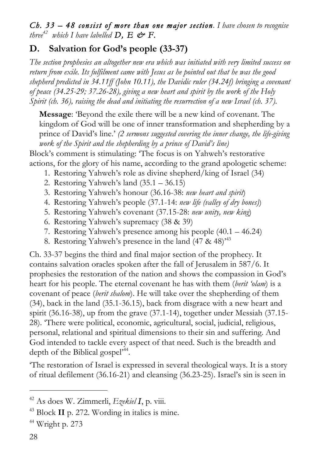*Ch. 33 – 48 consist of more than one major section. I have chosen to recognise three*<sup>42</sup> *which* I have labelled  $D, E \nleftrightarrow F$ .

#### **D. Salvation for God's people (33-37)**

*The section prophesies an altogether new era which was initiated with very limited success on return from exile. Its fulfilment came with Jesus as he pointed out that he was the good shepherd predicted in 34.11ff (John 10.11), the Davidic ruler (34.24f) bringing a covenant of peace (34.25-29; 37.26-28), giving a new heart and spirit by the work of the Holy Spirit (ch. 36), raising the dead and initiating the resurrection of a new Israel (ch. 37).*

**Message**: 'Beyond the exile there will be a new kind of covenant. The kingdom of God will be one of inner transformation and shepherding by a prince of David's line.' *(2 sermons suggested covering the inner change, the life-giving work of the Spirit and the shepherding by a prince of David's line)*

Block's comment is stimulating: 'The focus is on Yahweh's restorative actions, for the glory of his name, according to the grand apologetic scheme:

- 1. Restoring Yahweh's role as divine shepherd/king of Israel (34)
- 2. Restoring Yahweh's land (35.1 36.15)
- 3. Restoring Yahweh's honour (36.16-38: *new heart and spirit*)
- 4. Restoring Yahweh's people (37.1-14: *new life (valley of dry bones)*)
- 5. Restoring Yahweh's covenant (37.15-28: *new unity, new king*)
- 6. Restoring Yahweh's supremacy (38 & 39)
- 7. Restoring Yahweh's presence among his people (40.1 46.24)
- 8. Restoring Yahweh's presence in the land (47 & 48)'43

Ch. 33-37 begins the third and final major section of the prophecy. It contains salvation oracles spoken after the fall of Jerusalem in 587/6. It prophesies the restoration of the nation and shows the compassion in God's heart for his people. The eternal covenant he has with them (*berit 'olam*) is a covenant of peace (*berit shalom*). He will take over the shepherding of them (34), back in the land (35.1-36.15), back from disgrace with a new heart and spirit (36.16-38), up from the grave (37.1-14), together under Messiah (37.15- 28). 'There were political, economic, agricultural, social, judicial, religious, personal, relational and spiritual dimensions to their sin and suffering. And God intended to tackle every aspect of that need. Such is the breadth and depth of the Biblical gospel'44.

'The restoration of Israel is expressed in several theological ways. It is a story of ritual defilement (36.16-21) and cleansing (36.23-25). Israel's sin is seen in

<sup>42</sup> As does W. Zimmerli, *Ezekiel I*, p. viii.

<sup>43</sup> Block **II** p. 272. Wording in italics is mine.

 $44$  Wright p. 273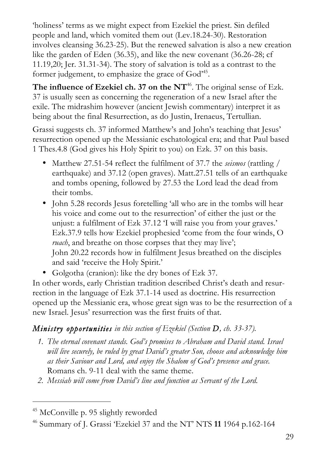'holiness' terms as we might expect from Ezekiel the priest. Sin defiled people and land, which vomited them out (Lev.18.24-30). Restoration involves cleansing 36.23-25). But the renewed salvation is also a new creation like the garden of Eden (36.35), and like the new covenant (36.26-28; cf 11.19,20; Jer. 31.31-34). The story of salvation is told as a contrast to the former judgement, to emphasize the grace of God<sup>145</sup>.

**The influence of Ezekiel ch. 37 on the NT<sup>46</sup>. The original sense of Ezk.** 37 is usually seen as concerning the regeneration of a new Israel after the exile. The midrashim however (ancient Jewish commentary) interpret it as being about the final Resurrection, as do Justin, Irenaeus, Tertullian.

Grassi suggests ch. 37 informed Matthew's and John's teaching that Jesus' resurrection opened up the Messianic eschatological era; and that Paul based 1 Thes.4.8 (God gives his Holy Spirit to you) on Ezk. 37 on this basis.

- Matthew 27.51-54 reflect the fulfilment of 37.7 the *seismos* (rattling / earthquake) and 37.12 (open graves). Matt.27.51 tells of an earthquake and tombs opening, followed by 27.53 the Lord lead the dead from their tombs.
- John 5.28 records Jesus foretelling 'all who are in the tombs will hear his voice and come out to the resurrection' of either the just or the unjust: a fulfilment of Ezk 37.12 'I will raise you from your graves.' Ezk.37.9 tells how Ezekiel prophesied 'come from the four winds, O *ruach*, and breathe on those corpses that they may live'; John 20.22 records how in fulfilment Jesus breathed on the disciples and said 'receive the Holy Spirit.'
- Golgotha (cranion): like the dry bones of Ezk 37.

In other words, early Christian tradition described Christ's death and resurrection in the language of Ezk 37.1-14 used as doctrine. His resurrection opened up the Messianic era, whose great sign was to be the resurrection of a new Israel. Jesus' resurrection was the first fruits of that.

#### *Ministry opportunities in this section of Ezekiel (Section D, ch. 33-37).*

- *1. The eternal covenant stands. God's promises to Abraham and David stand. Israel will live securely, be ruled by great David's greater Son, choose and acknowledge him as their Saviour and Lord, and enjoy the Shalom of God's presence and grace.* Romans ch. 9-11 deal with the same theme.
- *2. Messiah will come from David's line and function as Servant of the Lord.*

<sup>45</sup> McConville p. 95 slightly reworded

<sup>46</sup> Summary of J. Grassi 'Ezekiel 37 and the NT' NTS **11** 1964 p.162-164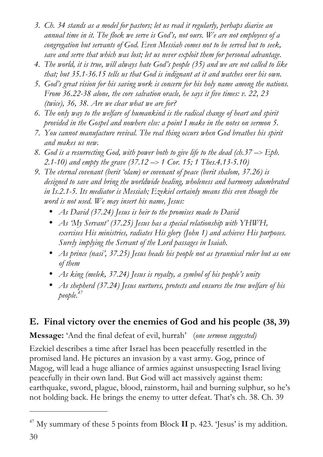- *3. Ch. 34 stands as a model for pastors; let us read it regularly, perhaps diarise an annual time in it. The flock we serve is God's, not ours. We are not employees of a congregation but servants of God. Even Messiah comes not to be served but to seek, save and serve that which was lost; let us never exploit them for personal advantage.*
- *4. The world, it is true, will always hate God's people (35) and we are not called to like that; but 35.1-36.15 tells us that God is indignant at it and watches over his own.*
- *5. God's great vision for his saving work is concern for his holy name among the nations. From 36.22-38 alone, the core salvation oracle, he says it five times: v. 22, 23 (twice), 36, 38. Are we clear what we are for?*
- *6. The only way to the welfare of humankind is the radical change of heart and spirit provided in the Gospel and nowhere else: a point I make in the notes on sermon 5.*
- *7. You cannot manufacture revival. The real thing occurs when God breathes his spirit and makes us new.*
- 8. *God is a resurrecting God, with power both to give life to the dead (ch.37 -> Eph. 2.1-10) and empty the grave (37.12* –> *1 Cor. 15; 1 Thes.4.13-5.10)*
- *9. The eternal covenant (berit 'olam) or covenant of peace (berit shalom, 37.26) is designed to save and bring the worldwide healing, wholeness and harmony adumbrated in Is.2.1-5. Its mediator is Messiah; Ezekiel certainly means this even though the word is not used. We may insert his name, Jesus:*
	- *As David (37.24) Jesus is heir to the promises made to David*
	- *As 'My Servant' (37.25) Jesus has a special relationship with YHWH, exercises His ministries, radiates His glory (John 1) and achieves His purposes. Surely implying the Servant of the Lord passages in Isaiah.*
	- *As prince (nasi', 37.25) Jesus heads his people not as tyrannical ruler but as one of them*
	- *As king (melek, 37.24) Jesus is royalty, a symbol of his people's unity*
	- *As shepherd (37.24) Jesus nurtures, protects and ensures the true welfare of his people.47*

#### **E. Final victory over the enemies of God and his people (38, 39)**

**Message:** 'And the final defeat of evil, hurrah' (*one sermon suggested)*

Ezekiel describes a time after Israel has been peacefully resettled in the promised land. He pictures an invasion by a vast army. Gog, prince of Magog, will lead a huge alliance of armies against unsuspecting Israel living peacefully in their own land. But God will act massively against them: earthquake, sword, plague, blood, rainstorm, hail and burning sulphur, so he's not holding back. He brings the enemy to utter defeat. That's ch. 38. Ch. 39

<sup>47</sup> My summary of these 5 points from Block **II** p. 423. 'Jesus' is my addition.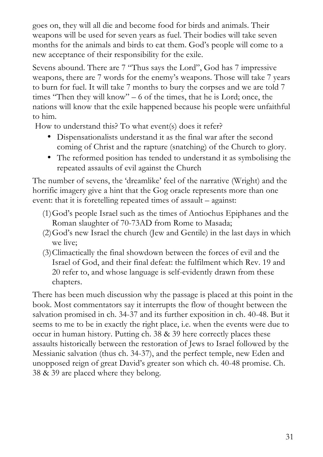goes on, they will all die and become food for birds and animals. Their weapons will be used for seven years as fuel. Their bodies will take seven months for the animals and birds to eat them. God's people will come to a new acceptance of their responsibility for the exile.

Sevens abound. There are 7 "Thus says the Lord", God has 7 impressive weapons, there are 7 words for the enemy's weapons. Those will take 7 years to burn for fuel. It will take 7 months to bury the corpses and we are told 7 times "Then they will know" – 6 of the times, that he is Lord; once, the nations will know that the exile happened because his people were unfaithful to him.

How to understand this? To what event(s) does it refer?

- Dispensationalists understand it as the final war after the second coming of Christ and the rapture (snatching) of the Church to glory.
- The reformed position has tended to understand it as symbolising the repeated assaults of evil against the Church

The number of sevens, the 'dreamlike' feel of the narrative (Wright) and the horrific imagery give a hint that the Gog oracle represents more than one event: that it is foretelling repeated times of assault – against:

- (1)God's people Israel such as the times of Antiochus Epiphanes and the Roman slaughter of 70-73AD from Rome to Masada;
- (2)God's new Israel the church (Jew and Gentile) in the last days in which we live;
- (3)Climactically the final showdown between the forces of evil and the Israel of God, and their final defeat: the fulfilment which Rev. 19 and 20 refer to, and whose language is self-evidently drawn from these chapters.

There has been much discussion why the passage is placed at this point in the book. Most commentators say it interrupts the flow of thought between the salvation promised in ch. 34-37 and its further exposition in ch. 40-48. But it seems to me to be in exactly the right place, i.e. when the events were due to occur in human history. Putting ch. 38 & 39 here correctly places these assaults historically between the restoration of Jews to Israel followed by the Messianic salvation (thus ch. 34-37), and the perfect temple, new Eden and unopposed reign of great David's greater son which ch. 40-48 promise. Ch. 38 & 39 are placed where they belong.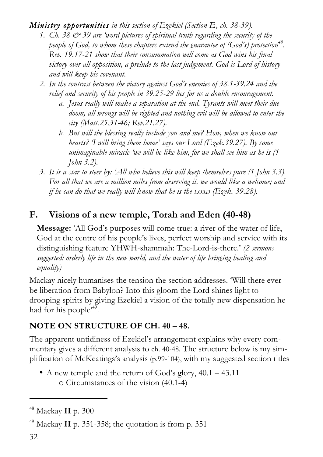*Ministry opportunities in this section of Ezekiel (Section E, ch. 38-39).*

- *1. Ch. 38 & 39 are 'word pictures of spiritual truth regarding the security of the people of God, to whom these chapters extend the guarantee of (God's) protection*<sup>48</sup>. *Rev. 19.17-21 show that their consummation will come as God wins his final victory over all opposition, a prelude to the last judgement. God is Lord of history and will keep his covenant.*
- *2. In the contrast between the victory against God's enemies of 38.1-39.24 and the relief and security of his people in 39.25-29 lies for us a double encouragement.*
	- *a. Jesus really will make a separation at the end. Tyrants will meet their due*  doom, all wrongs will be righted and nothing evil will be allowed to enter the *city (Matt.25.31-46; Rev.21.27).*
	- *b. But will the blessing really include you and me? How, when we know our hearts? 'I will bring them home' says our Lord (Ezek.39.27). By some unimaginable miracle 'we will be like him, for we shall see him as he is (1 John 3.2).*
- *3. It is a star to steer by: 'All who believe this will keep themselves pure (1 John 3.3). For all that we are a million miles from deserving it, we would like a welcome; and if he can do that we really will know that he is the LORD (Ezek. 39.28).*

#### **F. Visions of a new temple, Torah and Eden (40-48)**

**Message:** 'All God's purposes will come true: a river of the water of life, God at the centre of his people's lives, perfect worship and service with its distinguishing feature YHWH-shammah: The-Lord-is-there.' *(2 sermons suggested: orderly life in the new world, and the water of life bringing healing and equality)*

Mackay nicely humanises the tension the section addresses. 'Will there ever be liberation from Babylon? Into this gloom the Lord shines light to drooping spirits by giving Ezekiel a vision of the totally new dispensation he had for his people<sup>49</sup>.

#### **NOTE ON STRUCTURE OF CH. 40 – 48.**

The apparent untidiness of Ezekiel's arrangement explains why every commentary gives a different analysis to ch. 40-48. The structure below is my simplification of McKeatings's analysis (p.99-104), with my suggested section titles

• A new temple and the return of God's glory, 40.1 – 43.11 o Circumstances of the vision (40.1-4)

<sup>48</sup> Mackay **II** p. 300

 $^{49}$  Mackay **II** p. 351-358; the quotation is from p. 351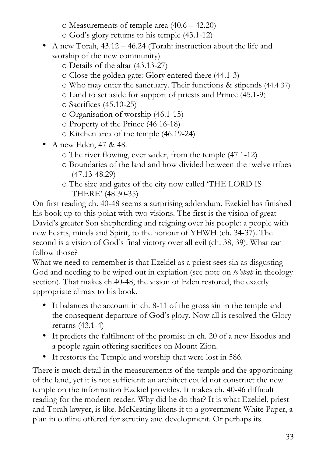- o Measurements of temple area (40.6 42.20)
- o God's glory returns to his temple (43.1-12)
- A new Torah, 43.12 46.24 (Torah: instruction about the life and worship of the new community)
	- o Details of the altar (43.13-27)
	- o Close the golden gate: Glory entered there (44.1-3)
	- o Who may enter the sanctuary. Their functions & stipends (44.4-37)
	- o Land to set aside for support of priests and Prince (45.1-9)
	- o Sacrifices (45.10-25)
	- o Organisation of worship (46.1-15)
	- o Property of the Prince (46.16-18)
	- o Kitchen area of the temple (46.19-24)
- A new Eden, 47 & 48.
	- o The river flowing, ever wider, from the temple (47.1-12)
	- o Boundaries of the land and how divided between the twelve tribes (47.13-48.29)
	- o The size and gates of the city now called 'THE LORD IS THERE' (48.30-35)

On first reading ch. 40-48 seems a surprising addendum. Ezekiel has finished his book up to this point with two visions. The first is the vision of great David's greater Son shepherding and reigning over his people: a people with new hearts, minds and Spirit, to the honour of YHWH (ch. 34-37). The second is a vision of God's final victory over all evil (ch. 38, 39). What can follow those?

What we need to remember is that Ezekiel as a priest sees sin as disgusting God and needing to be wiped out in expiation (see note on *to'ebah* in theology section). That makes ch.40-48, the vision of Eden restored, the exactly appropriate climax to his book.

- It balances the account in ch. 8-11 of the gross sin in the temple and the consequent departure of God's glory. Now all is resolved the Glory returns (43.1-4)
- It predicts the fulfilment of the promise in ch. 20 of a new Exodus and a people again offering sacrifices on Mount Zion.
- It restores the Temple and worship that were lost in 586.

There is much detail in the measurements of the temple and the apportioning of the land, yet it is not sufficient: an architect could not construct the new temple on the information Ezekiel provides. It makes ch. 40-46 difficult reading for the modern reader. Why did he do that? It is what Ezekiel, priest and Torah lawyer, is like. McKeating likens it to a government White Paper, a plan in outline offered for scrutiny and development. Or perhaps its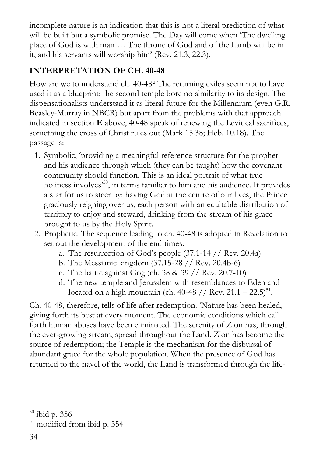incomplete nature is an indication that this is not a literal prediction of what will be built but a symbolic promise. The Day will come when 'The dwelling place of God is with man … The throne of God and of the Lamb will be in it, and his servants will worship him' (Rev. 21.3, 22.3).

#### **INTERPRETATION OF CH. 40-48**

How are we to understand ch. 40-48? The returning exiles seem not to have used it as a blueprint: the second temple bore no similarity to its design. The dispensationalists understand it as literal future for the Millennium (even G.R. Beasley-Murray in NBCR) but apart from the problems with that approach indicated in section **E** above, 40-48 speak of renewing the Levitical sacrifices, something the cross of Christ rules out (Mark 15.38; Heb. 10.18). The passage is:

- 1. Symbolic, 'providing a meaningful reference structure for the prophet and his audience through which (they can be taught) how the covenant community should function. This is an ideal portrait of what true holiness involves<sup>550</sup>, in terms familiar to him and his audience. It provides a star for us to steer by: having God at the centre of our lives, the Prince graciously reigning over us, each person with an equitable distribution of territory to enjoy and steward, drinking from the stream of his grace brought to us by the Holy Spirit.
- 2. Prophetic. The sequence leading to ch. 40-48 is adopted in Revelation to set out the development of the end times:
	- a. The resurrection of God's people (37.1-14 // Rev. 20.4a)
	- b. The Messianic kingdom (37.15-28 // Rev. 20.4b-6)
	- c. The battle against Gog (ch.  $38 \& 39 \frac{\textit{}}{\textit{}}$  Rev. 20.7-10)
	- d. The new temple and Jerusalem with resemblances to Eden and located on a high mountain (ch. 40-48 // Rev.  $21.1 - 22.5$ )<sup>51</sup>.

Ch. 40-48, therefore, tells of life after redemption. 'Nature has been healed, giving forth its best at every moment. The economic conditions which call forth human abuses have been eliminated. The serenity of Zion has, through the ever-growing stream, spread throughout the Land. Zion has become the source of redemption; the Temple is the mechanism for the disbursal of abundant grace for the whole population. When the presence of God has returned to the navel of the world, the Land is transformed through the life-

<sup>50</sup> ibid p. 356

<sup>&</sup>lt;sup>51</sup> modified from ibid p. 354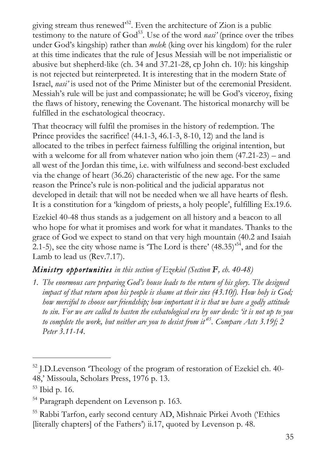giving stream thus renewed'52. Even the architecture of Zion is a public testimony to the nature of  $God<sup>53</sup>$ . Use of the word *nasi'* (prince over the tribes under God's kingship) rather than *melek* (king over his kingdom) for the ruler at this time indicates that the rule of Jesus Messiah will be not imperialistic or abusive but shepherd-like (ch. 34 and 37.21-28, cp John ch. 10): his kingship is not rejected but reinterpreted. It is interesting that in the modern State of Israel, *nasi'* is used not of the Prime Minister but of the ceremonial President. Messiah's rule will be just and compassionate; he will be God's viceroy, fixing the flaws of history, renewing the Covenant. The historical monarchy will be fulfilled in the eschatological theocracy.

That theocracy will fulfil the promises in the history of redemption. The Prince provides the sacrifice! (44.1-3, 46.1-3, 8-10, 12) and the land is allocated to the tribes in perfect fairness fulfilling the original intention, but with a welcome for all from whatever nation who join them  $(47.21-23)$  – and all west of the Jordan this time, i.e. with wilfulness and second-best excluded via the change of heart (36.26) characteristic of the new age. For the same reason the Prince's rule is non-political and the judicial apparatus not developed in detail: that will not be needed when we all have hearts of flesh. It is a constitution for a 'kingdom of priests, a holy people', fulfilling Ex.19.6.

Ezekiel 40-48 thus stands as a judgement on all history and a beacon to all who hope for what it promises and work for what it mandates. Thanks to the grace of God we expect to stand on that very high mountain (40.2 and Isaiah 2.1-5), see the city whose name is 'The Lord is there'  $(48.35)$ <sup>54</sup>, and for the Lamb to lead us (Rev.7.17).

#### *Ministry opportunities in this section of Ezekiel (Section F, ch. 40-48)*

*1. The enormous care preparing God's house leads to the return of his glory. The designed impact of that return upon his people is shame at their sins (43.10f). How holy is God; how merciful to choose our friendship; how important it is that we have a godly attitude to sin. For we are called to hasten the eschatological era by our deeds: 'it is not up to you*  to complete the work, but neither are you to desist from it<sup>55</sup>. Compare Acts 3.19f; 2 *Peter 3.11-14.*

<sup>52</sup> J.D.Levenson 'Theology of the program of restoration of Ezekiel ch. 40- 48,' Missoula, Scholars Press, 1976 p. 13.

<sup>53</sup> Ibid p. 16.

<sup>&</sup>lt;sup>54</sup> Paragraph dependent on Levenson p. 163.

<sup>55</sup> Rabbi Tarfon, early second century AD, Mishnaic Pirkei Avoth ('Ethics [literally chapters] of the Fathers') ii.17, quoted by Levenson p. 48.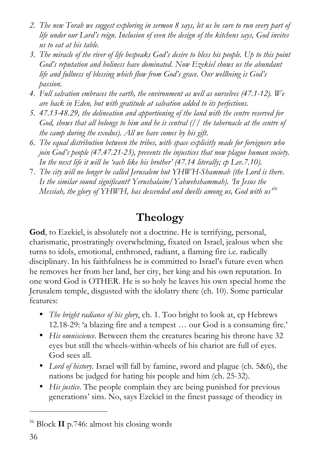- *2. The new Torah we suggest exploring in sermon 8 says, let us be sure to run every part of life under our Lord's reign. Inclusion of even the design of the kitchens says, God invites us to eat at his table.*
- *3. The miracle of the river of life bespeaks God's desire to bless his people. Up to this point God's reputation and holiness have dominated. Now Ezekiel shows us the abundant life and fullness of blessing which flow from God's grace. Our wellbeing is God's passion.*
- *4. Full salvation embraces the earth, the environment as well as ourselves (47.1-12). We are back in Eden, but with gratitude at salvation added to its perfections.*
- *5. 47.13-48.29, the delineation and apportioning of the land with the centre reserved for God, shows that all belongs to him and he is central (// the tabernacle at the centre of the camp during the exodus). All we have comes by his gift.*
- *6. The equal distribution between the tribes, with space explicitly made for foreigners who join God's people (47.47.21-23), prevents the injustices that now plague human society. In the next life it will be 'each like his brother' (47.14 literally; cp Lev.7.10).*
- 7. *The city will no longer be called Jerusalem but YHWH-Shammah (the Lord is there. Is the similar sound significant? Yerushalaim/Yahwehshammah). 'In Jesus the Messiah, the glory of YHWH, has descended and dwells among us, God with us'56*

## **Theology**

**God**, to Ezekiel, is absolutely not a doctrine. He is terrifying, personal, charismatic, prostratingly overwhelming, fixated on Israel, jealous when she turns to idols, emotional, enthroned, radiant, a flaming fire i.e. radically disciplinary. In his faithfulness he is committed to Israel's future even when he removes her from her land, her city, her king and his own reputation. In one word God is OTHER. He is so holy he leaves his own special home the Jerusalem temple, disgusted with the idolatry there (ch. 10). Some particular features:

- *The bright radiance of his glory*, ch. 1. Too bright to look at, cp Hebrews 12.18-29: 'a blazing fire and a tempest … our God is a consuming fire.'
- *His omniscience*. Between them the creatures bearing his throne have 32 eyes but still the wheels-within-wheels of his chariot are full of eyes. God sees all.
- *Lord of history*. Israel will fall by famine, sword and plague (ch. 5&6), the nations be judged for hating his people and him (ch. 25-32).
- *His justice*. The people complain they are being punished for previous generations' sins. No, says Ezekiel in the finest passage of theodicy in

<sup>56</sup> Block **II** p.746: almost his closing words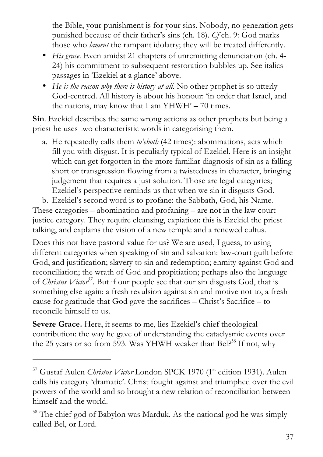the Bible, your punishment is for your sins. Nobody, no generation gets punished because of their father's sins (ch. 18). *Cf* ch. 9: God marks those who *lament* the rampant idolatry; they will be treated differently.

- *His grace*. Even amidst 21 chapters of unremitting denunciation (ch. 4- 24) his commitment to subsequent restoration bubbles up. See italics passages in 'Ezekiel at a glance' above.
- *He is the reason why there is history at all*. No other prophet is so utterly God-centred. All history is about his honour: 'in order that Israel, and the nations, may know that I am  $YHWH' - 70$  times.

**Sin**. Ezekiel describes the same wrong actions as other prophets but being a priest he uses two characteristic words in categorising them.

a. He repeatedly calls them *to'eboth* (42 times): abominations, acts which fill you with disgust. It is peculiarly typical of Ezekiel. Here is an insight which can get forgotten in the more familiar diagnosis of sin as a falling short or transgression flowing from a twistedness in character, bringing judgement that requires a just solution. Those are legal categories; Ezekiel's perspective reminds us that when we sin it disgusts God.

b. Ezekiel's second word is to profane: the Sabbath, God, his Name. These categories – abomination and profaning – are not in the law court justice category. They require cleansing, expiation: this is Ezekiel the priest talking, and explains the vision of a new temple and a renewed cultus.

Does this not have pastoral value for us? We are used, I guess, to using different categories when speaking of sin and salvation: law-court guilt before God, and justification; slavery to sin and redemption; enmity against God and reconciliation; the wrath of God and propitiation; perhaps also the language of *Christus Victor57.* But if our people see that our sin disgusts God, that is something else again: a fresh revulsion against sin and motive not to, a fresh cause for gratitude that God gave the sacrifices – Christ's Sacrifice – to reconcile himself to us.

**Severe Grace.** Here, it seems to me, lies Ezekiel's chief theological contribution: the way he gave of understanding the cataclysmic events over the 25 years or so from 593. Was YHWH weaker than Bel?<sup>58</sup> If not, why

-

<sup>&</sup>lt;sup>57</sup> Gustaf Aulen *Christus Victor* London SPCK 1970 (1<sup>st</sup> edition 1931). Aulen calls his category 'dramatic'. Christ fought against and triumphed over the evil powers of the world and so brought a new relation of reconciliation between himself and the world.

<sup>&</sup>lt;sup>58</sup> The chief god of Babylon was Marduk. As the national god he was simply called Bel, or Lord.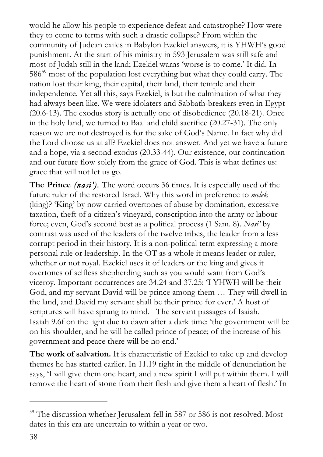would he allow his people to experience defeat and catastrophe? How were they to come to terms with such a drastic collapse? From within the community of Judean exiles in Babylon Ezekiel answers, it is YHWH's good punishment. At the start of his ministry in 593 Jerusalem was still safe and most of Judah still in the land; Ezekiel warns 'worse is to come.' It did. In 58659 most of the population lost everything but what they could carry. The nation lost their king, their capital, their land, their temple and their independence. Yet all this, says Ezekiel, is but the culmination of what they had always been like. We were idolaters and Sabbath-breakers even in Egypt (20.6-13). The exodus story is actually one of disobedience (20.18-21). Once in the holy land, we turned to Baal and child sacrifice (20.27-31). The only reason we are not destroyed is for the sake of God's Name. In fact why did the Lord choose us at all? Ezekiel does not answer. And yet we have a future and a hope, via a second exodus (20.33-44). Our existence, our continuation and our future flow solely from the grace of God. This is what defines us: grace that will not let us go.

**The****Prince** *(nasi').* The word occurs 36 times. It is especially used of the future ruler of the restored Israel. Why this word in preference to *melek* (king)? 'King' by now carried overtones of abuse by domination, excessive taxation, theft of a citizen's vineyard, conscription into the army or labour force; even, God's second best as a political process (1 Sam. 8). *Nasi'* by contrast was used of the leaders of the twelve tribes, the leader from a less corrupt period in their history. It is a non-political term expressing a more personal rule or leadership. In the OT as a whole it means leader or ruler, whether or not royal. Ezekiel uses it of leaders or the king and gives it overtones of selfless shepherding such as you would want from God's viceroy. Important occurrences are 34.24 and 37.25: 'I YHWH will be their God, and my servant David will be prince among them … They will dwell in the land, and David my servant shall be their prince for ever.' A host of scriptures will have sprung to mind. The servant passages of Isaiah. Isaiah 9.6f on the light due to dawn after a dark time: 'the government will be on his shoulder, and he will be called prince of peace; of the increase of his government and peace there will be no end.'

**The work of salvation.** It is characteristic of Ezekiel to take up and develop themes he has started earlier. In 11.19 right in the middle of denunciation he says, 'I will give them one heart, and a new spirit I will put within them. I will remove the heart of stone from their flesh and give them a heart of flesh.' In

<sup>&</sup>lt;sup>59</sup> The discussion whether Jerusalem fell in 587 or 586 is not resolved. Most dates in this era are uncertain to within a year or two.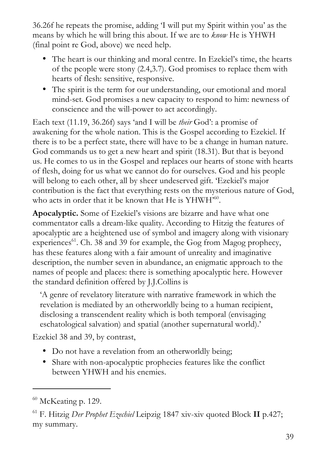36.26f he repeats the promise, adding 'I will put my Spirit within you' as the means by which he will bring this about. If we are to *know* He is YHWH (final point re God, above) we need help.

- The heart is our thinking and moral centre. In Ezekiel's time, the hearts of the people were stony (2.4,3.7). God promises to replace them with hearts of flesh: sensitive, responsive.
- The spirit is the term for our understanding, our emotional and moral mind-set. God promises a new capacity to respond to him: newness of conscience and the will-power to act accordingly.

Each text (11.19, 36.26f) says 'and I will be *their* God': a promise of awakening for the whole nation. This is the Gospel according to Ezekiel. If there is to be a perfect state, there will have to be a change in human nature. God commands us to get a new heart and spirit (18.31). But that is beyond us. He comes to us in the Gospel and replaces our hearts of stone with hearts of flesh, doing for us what we cannot do for ourselves. God and his people will belong to each other, all by sheer undeserved gift. 'Ezekiel's major contribution is the fact that everything rests on the mysterious nature of God, who acts in order that it be known that He is YHWH<sup>560</sup>.

**Apocalyptic.** Some of Ezekiel's visions are bizarre and have what one commentator calls a dream-like quality. According to Hitzig the features of apocalyptic are a heightened use of symbol and imagery along with visionary experiences<sup>61</sup>. Ch. 38 and 39 for example, the Gog from Magog prophecy, has these features along with a fair amount of unreality and imaginative description, the number seven in abundance, an enigmatic approach to the names of people and places: there is something apocalyptic here. However the standard definition offered by J.J.Collins is

'A genre of revelatory literature with narrative framework in which the revelation is mediated by an otherworldly being to a human recipient, disclosing a transcendent reality which is both temporal (envisaging eschatological salvation) and spatial (another supernatural world).'

Ezekiel 38 and 39, by contrast,

- Do not have a revelation from an otherworldly being;
- Share with non-apocalyptic prophecies features like the conflict between YHWH and his enemies.

 $60$  McKeating p. 129.

<sup>61</sup> F. Hitzig *Der Prophet Ezechiel* Leipzig 1847 xiv-xiv quoted Block **II** p.427; my summary.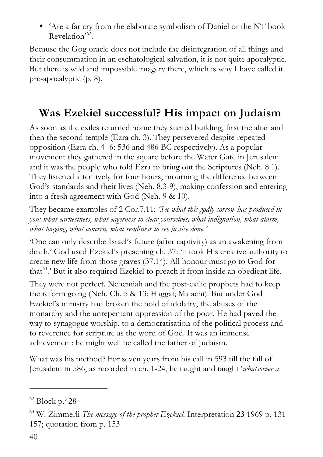• 'Are a far cry from the elaborate symbolism of Daniel or the NT book Revelation<sup>'62</sup>.

Because the Gog oracle does not include the disintegration of all things and their consummation in an eschatological salvation, it is not quite apocalyptic. But there is wild and impossible imagery there, which is why I have called it pre-apocalyptic (p. 8).

## **Was Ezekiel successful? His impact on Judaism**

As soon as the exiles returned home they started building, first the altar and then the second temple (Ezra ch. 3). They persevered despite repeated opposition (Ezra ch. 4 -6: 536 and 486 BC respectively). As a popular movement they gathered in the square before the Water Gate in Jerusalem and it was the people who told Ezra to bring out the Scriptures (Neh. 8.1). They listened attentively for four hours, mourning the difference between God's standards and their lives (Neh. 8.3-9), making confession and entering into a fresh agreement with God (Neh. 9 & 10).

They became examples of 2 Cor.7.11: *'See what this godly sorrow has produced in you: what earnestness, what eagerness to clear yourselves, what indignation, what alarm, what longing, what concern, what readiness to see justice done.'*

'One can only describe Israel's future (after captivity) as an awakening from death.' God used Ezekiel's preaching ch. 37: 'it took His creative authority to create new life from those graves (37.14). All honour must go to God for that<sup>63</sup>.' But it also required Ezekiel to preach it from inside an obedient life.

They were not perfect. Nehemiah and the post-exilic prophets had to keep the reform going (Neh. Ch. 5 & 13; Haggai; Malachi). But under God Ezekiel's ministry had broken the hold of idolatry, the abuses of the monarchy and the unrepentant oppression of the poor. He had paved the way to synagogue worship, to a democratisation of the political process and to reverence for scripture as the word of God. It was an immense achievement; he might well be called the father of Judaism.

What was his method? For seven years from his call in 593 till the fall of Jerusalem in 586, as recorded in ch. 1-24, he taught and taught '*whatsoever a* 

 $62$  Block p.428

<sup>63</sup> W. Zimmerli *The message of the prophet Ezekiel.* Interpretation **23** 1969 p. 131- 157; quotation from p. 153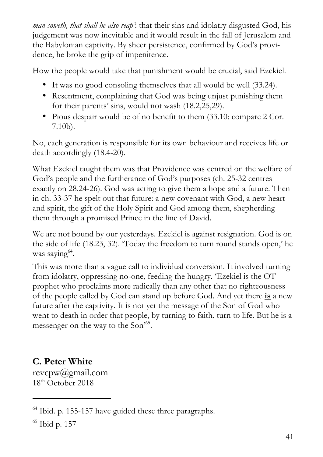*man soweth, that shall he also reap'*: that their sins and idolatry disgusted God, his judgement was now inevitable and it would result in the fall of Jerusalem and the Babylonian captivity. By sheer persistence, confirmed by God's providence, he broke the grip of impenitence.

How the people would take that punishment would be crucial, said Ezekiel.

- It was no good consoling themselves that all would be well (33.24).
- Resentment, complaining that God was being unjust punishing them for their parents' sins, would not wash (18.2,25,29).
- Pious despair would be of no benefit to them (33.10; compare 2 Cor. 7.10b).

No, each generation is responsible for its own behaviour and receives life or death accordingly (18.4-20).

What Ezekiel taught them was that Providence was centred on the welfare of God's people and the furtherance of God's purposes (ch. 25-32 centres exactly on 28.24-26). God was acting to give them a hope and a future. Then in ch. 33-37 he spelt out that future: a new covenant with God, a new heart and spirit, the gift of the Holy Spirit and God among them, shepherding them through a promised Prince in the line of David.

We are not bound by our yesterdays. Ezekiel is against resignation. God is on the side of life (18.23, 32). 'Today the freedom to turn round stands open,' he was saying<sup>64</sup>.

This was more than a vague call to individual conversion. It involved turning from idolatry, oppressing no-one, feeding the hungry. 'Ezekiel is the OT prophet who proclaims more radically than any other that no righteousness of the people called by God can stand up before God. And yet there **is** a new future after the captivity. It is not yet the message of the Son of God who went to death in order that people, by turning to faith, turn to life. But he is a messenger on the way to the Son<sup>165</sup>.

## **C. Peter White**

revcpw@gmail.com 18<sup>th</sup> October 2018

 $<sup>65</sup>$  Ibid p. 157</sup>

<sup>&</sup>lt;sup>64</sup> Ibid. p. 155-157 have guided these three paragraphs.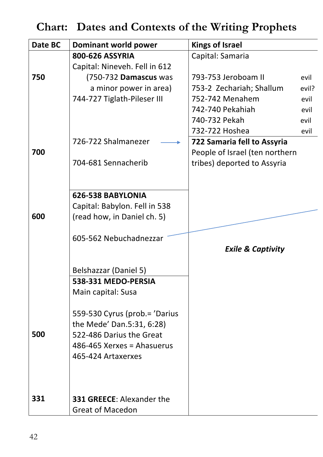## **Chart: Dates and Contexts of the Writing Prophets**

| Date BC | Dominant world power             | <b>Kings of Israel</b>         |       |
|---------|----------------------------------|--------------------------------|-------|
|         | 800-626 ASSYRIA                  | Capital: Samaria               |       |
|         | Capital: Nineveh. Fell in 612    |                                |       |
| 750     | (750-732 Damascus was            | 793-753 Jeroboam II            | evil  |
|         | a minor power in area)           | 753-2 Zechariah; Shallum       | evil? |
|         | 744-727 Tiglath-Pileser III      | 752-742 Menahem                | evil  |
|         |                                  | 742-740 Pekahiah               | evil  |
|         |                                  | 740-732 Pekah                  | evil  |
|         |                                  | 732-722 Hoshea                 | evil  |
|         | 726-722 Shalmanezer              | 722 Samaria fell to Assyria    |       |
| 700     |                                  | People of Israel (ten northern |       |
|         | 704-681 Sennacherib              | tribes) deported to Assyria    |       |
|         |                                  |                                |       |
|         |                                  |                                |       |
|         | 626-538 BABYLONIA                |                                |       |
|         | Capital: Babylon. Fell in 538    |                                |       |
| 600     | (read how, in Daniel ch. 5)      |                                |       |
|         |                                  |                                |       |
|         | 605-562 Nebuchadnezzar           |                                |       |
|         |                                  | <b>Exile &amp; Captivity</b>   |       |
|         |                                  |                                |       |
|         | Belshazzar (Daniel 5)            |                                |       |
|         | 538-331 MEDO-PERSIA              |                                |       |
|         | Main capital: Susa               |                                |       |
|         |                                  |                                |       |
|         | 559-530 Cyrus (prob. = 'Darius   |                                |       |
|         | the Mede' Dan.5:31, 6:28)        |                                |       |
| 500     | 522-486 Darius the Great         |                                |       |
|         | 486-465 Xerxes = Ahasuerus       |                                |       |
|         | 465-424 Artaxerxes               |                                |       |
|         |                                  |                                |       |
|         |                                  |                                |       |
|         |                                  |                                |       |
| 331     | <b>331 GREECE: Alexander the</b> |                                |       |
|         | <b>Great of Macedon</b>          |                                |       |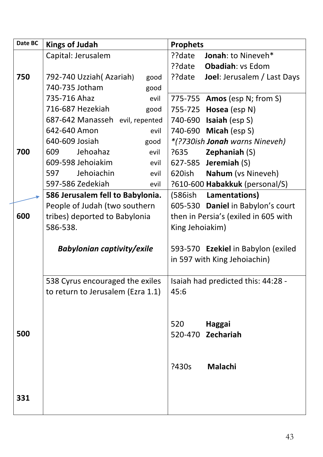| Date BC | <b>Kings of Judah</b>             | <b>Prophets</b>                       |
|---------|-----------------------------------|---------------------------------------|
|         | Capital: Jerusalem                | Jonah: to Nineveh*<br>??date          |
|         |                                   | ??date<br><b>Obadiah: vs Edom</b>     |
| 750     | 792-740 Uzziah (Azariah)<br>good  | ??date<br>Joel: Jerusalem / Last Days |
|         | 740-735 Jotham<br>good            |                                       |
|         | 735-716 Ahaz<br>evil              | 775-755 <b>Amos</b> (esp N; from S)   |
|         | 716-687 Hezekiah<br>good          | Hosea (esp N)<br>755-725              |
|         | 687-642 Manasseh evil, repented   | <b>Isaiah</b> (esp S)<br>740-690      |
|         | 642-640 Amon<br>evil              | Micah (esp S)<br>740-690              |
|         | 640-609 Josiah<br>good            | *(?730ish Jonah warns Nineveh)        |
| 700     | 609<br>Jehoahaz<br>evil           | ?635<br><b>Zephaniah (S)</b>          |
|         | 609-598 Jehoiakim<br>evil         | <b>Jeremiah (S)</b><br>627-585        |
|         | Jehoiachin<br>597<br>evil         | <b>Nahum</b> (vs Nineveh)<br>620ish   |
|         | 597-586 Zedekiah<br>evil          | ?610-600 Habakkuk (personal/S)        |
|         | 586 Jerusalem fell to Babylonia.  | (586ish Lamentations)                 |
|         | People of Judah (two southern     | 605-530 Daniel in Babylon's court     |
| 600     | tribes) deported to Babylonia     | then in Persia's (exiled in 605 with  |
|         | 586-538.                          | King Jehoiakim)                       |
|         |                                   |                                       |
|         | <b>Babylonian captivity/exile</b> | 593-570 Ezekiel in Babylon (exiled    |
|         |                                   | in 597 with King Jehoiachin)          |
|         |                                   |                                       |
|         | 538 Cyrus encouraged the exiles   | Isaiah had predicted this: 44:28 -    |
|         | to return to Jerusalem (Ezra 1.1) | 45:6                                  |
|         |                                   |                                       |
|         |                                   |                                       |
|         |                                   | 520<br>Haggai                         |
| 500     |                                   | 520-470 <b>Zechariah</b>              |
|         |                                   |                                       |
|         |                                   |                                       |
|         |                                   | Malachi<br>?430s                      |
|         |                                   |                                       |
|         |                                   |                                       |
| 331     |                                   |                                       |
|         |                                   |                                       |